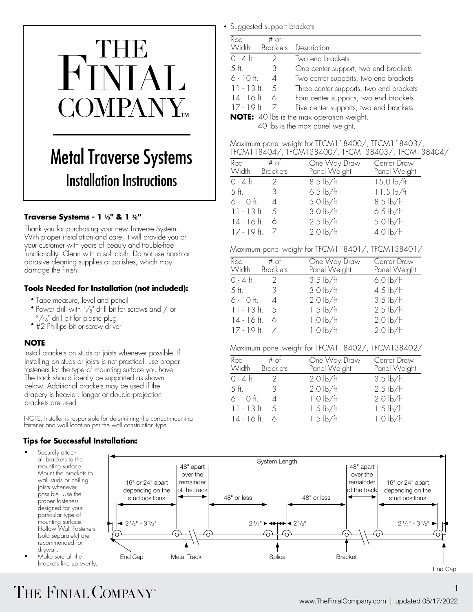# $\blacksquare$  $\mathbf{S}$  for center support, two end brackets  $\mathbf{S}$ 6 - 10 ft. 4 Two center supports, two end brackets Three center supports, two end brackets  $\blacksquare$  $\blacksquare$

#### **Metal Traverse Systems** Installation Instructions  $\frac{1}{\sqrt{2} \cdot 4 \cdot 4 \cdot 2}$ Track Clamp THE METAL LIANERS 11171 **w**

Bracket

# **Traverse Systems - 1** ⅛**" & 1** ⅜**"** 6.5 lb/ft

11.5 lb/ft

Thank you for purchasing your new Traverse System. Thank you for purchasing your new Traverse System. With proper installation and care, it will provide you or **17 - 19 ft.** 7 2.0 your customer with years of beauty and trouble-free **comparisons** Maximum  $\frac{1}{\sqrt{2}}$  functionality. Clean with a soft cloth. Do not use harsh or  $\frac{1}{\sqrt{2}}$  into the TFCM118401 panel weight for abrasive cleaning supplies or polishes, which may abiasive eleaning supplies Panel Weight Panel Weight

# **Tools Needed for Installation (not included):**  $\frac{1}{5}$  fig.  $\frac{3}{3}$   $\frac{3}{3}$

- Tape measure, level and pencil
- Power drill with  $1/s$ " drill bit for screws and / or  $11 13$  ft. 5<br> $3/16$ " drill bit for plastic plug  $14 16$  ft. 6  $\frac{3}{16}$ " drill bit for plastic plug
- $\bullet$  #2 Phillips bit or screw driver

#### **NOTE** 17 - 19 ft. 7 1.0 lb/ft 2.0 lb/ft

One Way Draw Panel Weight

0 - 4 ft. 2 Two end brackets

**NOTE:** 40 lbs is the max operation weight. 40 lbs is the max panel weight.

Install brackets on studs or joists whenever possible. If  $\frac{1}{\sqrt{2\pi}}$ installing on studs or joists is not practical, use proper screws rst to help sliding. Tighten each clamp screw but moduli of stock of plasts is not procifical, use proper<br>fasteners for the type of mounting surface you have. Width Brackets residences for the type of modifinity sanctee you had the track should ideally be supported as shown below. Additional brackets may be used if the drapery is heavier, longer or double projection brackets are used.

1.5 lb/ft NOTE: Installer is responsible for determining the correct mounting fastener and wall location per the wall construction type.

### $\bm{\mathrm{Tips}}$  for Successful Installation:

mounting surface. joists whenever possible. Use the proper fasteners designed for your particular type of mounting surface. Hollow Wall Fasteners (sold separately) are recommended for drywall.

• Make sure all the brackets line up evenly.

|  | • Suggested support brackets |  |  |
|--|------------------------------|--|--|
|--|------------------------------|--|--|

| Rod<br>$#$ of<br><b>Brackets</b><br><b>Width</b> | Description                                      |
|--------------------------------------------------|--------------------------------------------------|
| $O - 4$ ft.<br>2                                 | Two end brackets                                 |
| $5$ ft.<br>3                                     | One center support, two end brackets             |
| $6 - 10$ ft.<br>$\overline{A}$                   | Two center supports, two end brackets            |
| $11 - 13$ ft. 5                                  | Three center supports, two end brackets          |
| $14 - 16$ ft.<br>6                               | Four center supports, two end brackets           |
| $17 - 19$ ft.                                    | Five center supports, two end brackets           |
|                                                  | <b>NOTE:</b> 40 lbs is the max operation weight. |

40 lbs is the max panel weight.

| Maximum panel weight for TFCM118400/, TFCM118403/, |
|----------------------------------------------------|
| TFCM118404/, TFCM138400/, TFCM138403/, TFCM138404/ |

|                                        | □□ ህ । । । ∪ → ∪ → / , □ ∪ । । ∪ ∪ → ∪ ∪ / , □ ∪ । । ∪ ∪ → ∪ ∪ / , □ □ ∪ । । |                                                           |                             |  |
|----------------------------------------|------------------------------------------------------------------------------|-----------------------------------------------------------|-----------------------------|--|
| ystems                                 | Rod<br><b>Width</b>                                                          | One Way Draw<br>$#$ of<br>Panel Weight<br><b>Brackets</b> | Center Draw<br>Panel Weight |  |
| <b>ctions</b>                          | $0 - 4$ ft.                                                                  | $8.5 \, \text{lb/ft}$                                     | $15.0$ lb/ft                |  |
|                                        | .5 ft.                                                                       | $6.5$ lb/ft                                               | $11.5 \text{ lb/ft}$        |  |
|                                        | $6 - 10$ ft.                                                                 | $5.0$ lb/ft<br>$\varDelta$                                | $8.5$ lb/ft                 |  |
|                                        | $11 - 13$ ft.<br>-5                                                          | $3.0$ lb/ft                                               | $6.5$ lb/ft                 |  |
|                                        | $14 - 16$ ft.<br>6                                                           | $2.5 \, \text{lb/ft}$                                     | $5.0$ lb/ft                 |  |
| e System <mark>.</mark><br>vide vou or | $17 - 19$ ft. $7$                                                            | $2.0$ lb/ft                                               | $4.0$ lb/ft                 |  |
|                                        |                                                                              |                                                           |                             |  |

Maximum panel weight for TFCM118401/, TFCM138401/

| ouu nunun un |               |                           |                              |                             |
|--------------|---------------|---------------------------|------------------------------|-----------------------------|
| ch may       | Rod<br>Width  | $#$ of<br><b>Brackets</b> | One Way Draw<br>Panel Weight | Center Draw<br>Panel Weight |
|              | $0 - 4$ ft.   | $\mathcal{D}$             | $3.5$ lb/ft                  | $6.0$ lb/ft                 |
| included):   | 5 ft.         | 3                         | $3.0$ lb/ft                  | $4.5$ lb/ft                 |
|              | $6 - 10$ ft.  | 4                         | $2.0$ lb/ft                  | $3.5$ lb/ft                 |
| and / or     | $11 - 13$ ft. | -5                        | $1.5 \, \text{lb/ft}$        | $2.5$ lb/ft                 |
|              | $14 - 16$ ft. | 6                         | $1.0 \text{ lb/ft}$          | $2.0$ lb/ft                 |
|              | $17 - 19$ ft. |                           | $1.0$ lb/ft                  | $2.0$ lb/ft                 |
|              |               |                           |                              |                             |

#### Maximum panel weight for TFCM118402/, TFCM138402/

| ossibie. if      |                           |                       |              |  |
|------------------|---------------------------|-----------------------|--------------|--|
| se proper        | # of<br>Rod               | One Way Draw          | Center Draw  |  |
| vu have.         | Brack ets<br><b>Width</b> | Panel Weight          | Panel Weight |  |
| nwc              | $0 - 4$ ft.               | $2.0 \text{ lb/ft}$   | $3.5$ lb/ft  |  |
| he<br>ion        | .5 ft                     | $2.0$ lb/ft           | $2.5$ lb/ft  |  |
|                  | $6 - 10$ ft.<br>4         | $1.0 \text{ lb/ft}$   | $2.0$ lb/ft  |  |
|                  | $11 - 13$ ft.<br>-5       | $1.5 \, \text{lb/ft}$ | $1.5$ lb/ft  |  |
| correct mounting | $14 - 16$ ft.             | $1.5 \, \text{lb/ft}$ | $1.0$ lb/ft  |  |



# THE FINIAL COMPANY"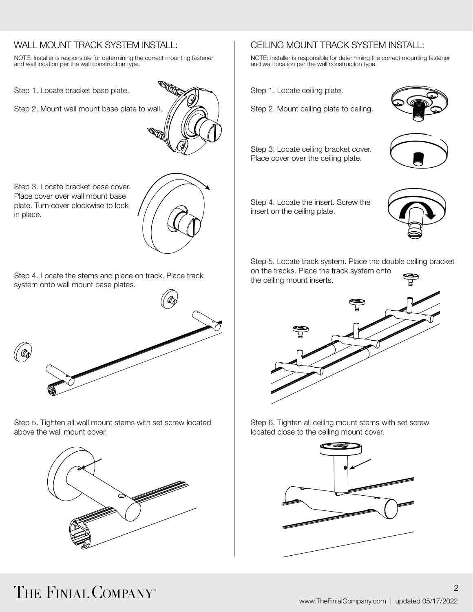# WALL MOUNT TRACK SYSTEM INSTALL:

NOTE: Installer is responsible for determining the correct mounting fastener and wall location per the wall construction type.

Step 1. Locate bracket base plate.

Step 2. Mount wall mount base plate to wall.



Step 3. Locate bracket base cover. Place cover over wall mount base plate. Turn cover clockwise to lock in place.

Step 4. Locate the stems and place on track. Place track system onto wall mount base plates.



Step 5. Tighten all wall mount stems with set screw located above the wall mount cover.



# CEILING MOUNT TRACK SYSTEM INSTALL:

NOTE: Installer is responsible for determining the correct mounting fastener and wall location per the wall construction type.

Step 1. Locate ceiling plate.

Step 2. Mount ceiling plate to ceiling.



Step 3. Locate ceiling bracket cover. Place cover over the ceiling plate.



Step 4. Locate the insert. Screw the insert on the ceiling plate.



Step 5. Locate track system. Place the double ceiling bracket on the tracks. Place the track system onto the ceiling mount inserts.



Step 6. Tighten all ceiling mount stems with set screw located close to the ceiling mount cover.



2